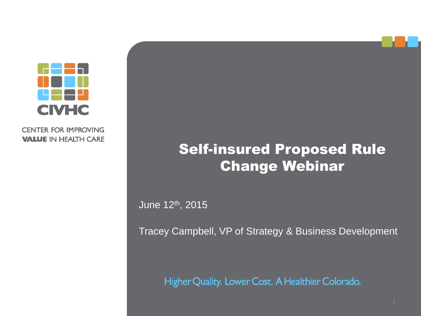

**CENTER FOR IMPROVING VALUE IN HEALTH CARE** 

### Self-insured Proposed Rule **Change Webinar**

June 12th, 2015

Tracey Campbell, VP of Strategy & Business Development

Higher Quality. Lower Cost. A Healthier Colorado.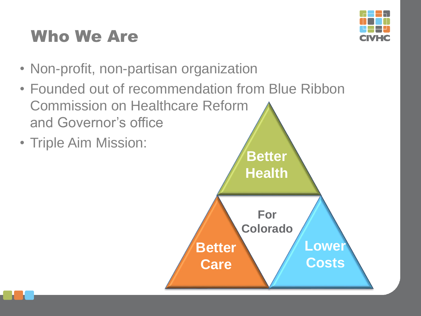# Who We Are



- Non-profit, non-partisan organization
- Founded out of recommendation from Blue Ribbon Commission on Healthcare Reform and Governor's office
- Triple Aim Mission:

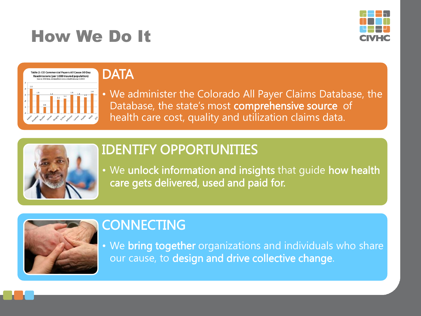## How We Do It





#### **DATA**

• We administer the Colorado All Payer Claims Database, the Database, the state's most comprehensive source of health care cost, quality and utilization claims data.



### IDENTIFY OPPORTUNITIES

• We unlock information and insights that guide how health care gets delivered, used and paid for.



#### **CONNECTING**

• We bring together organizations and individuals who share our cause, to design and drive collective change.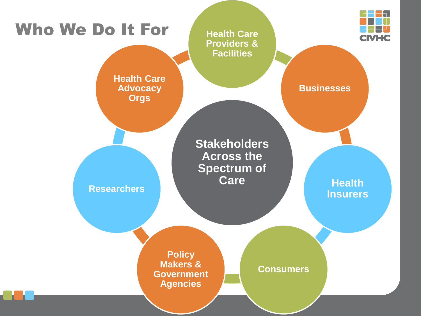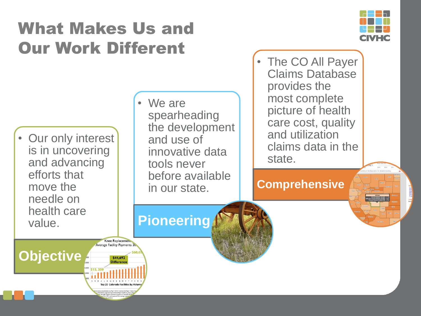## What Makes Us and Our Work Different



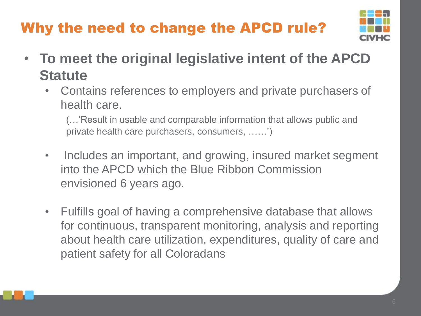## Why the need to change the APCD rule?



- **To meet the original legislative intent of the APCD Statute**
	- Contains references to employers and private purchasers of health care.

(…'Result in usable and comparable information that allows public and private health care purchasers, consumers, ……')

- Includes an important, and growing, insured market segment into the APCD which the Blue Ribbon Commission envisioned 6 years ago.
- Fulfills goal of having a comprehensive database that allows for continuous, transparent monitoring, analysis and reporting about health care utilization, expenditures, quality of care and patient safety for all Coloradans

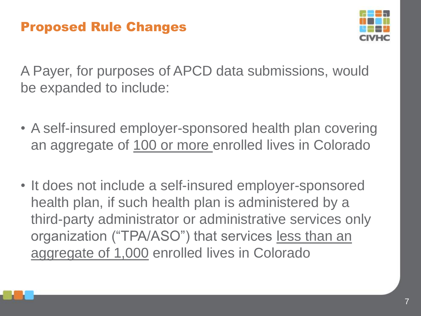

A Payer, for purposes of APCD data submissions, would be expanded to include:

- A self-insured employer-sponsored health plan covering an aggregate of 100 or more enrolled lives in Colorado
- It does not include a self-insured employer-sponsored health plan, if such health plan is administered by a third-party administrator or administrative services only organization ("TPA/ASO") that services less than an aggregate of 1,000 enrolled lives in Colorado

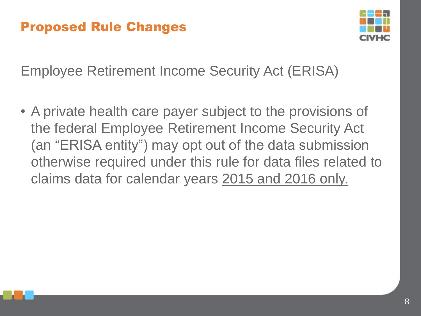

Employee Retirement Income Security Act (ERISA)

• A private health care payer subject to the provisions of the federal Employee Retirement Income Security Act (an "ERISA entity") may opt out of the data submission otherwise required under this rule for data files related to claims data for calendar years 2015 and 2016 only.

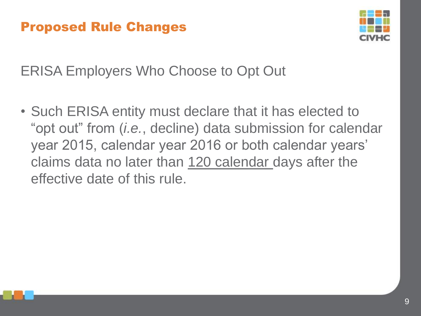

ERISA Employers Who Choose to Opt Out

• Such ERISA entity must declare that it has elected to "opt out" from (*i.e.*, decline) data submission for calendar year 2015, calendar year 2016 or both calendar years' claims data no later than 120 calendar days after the effective date of this rule.

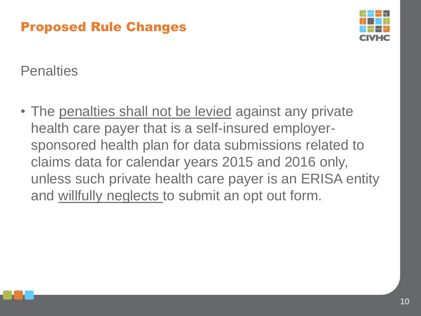

**Penalties** 

• The penalties shall not be levied against any private health care payer that is a self-insured employersponsored health plan for data submissions related to claims data for calendar years 2015 and 2016 only, unless such private health care payer is an ERISA entity and willfully neglects to submit an opt out form.

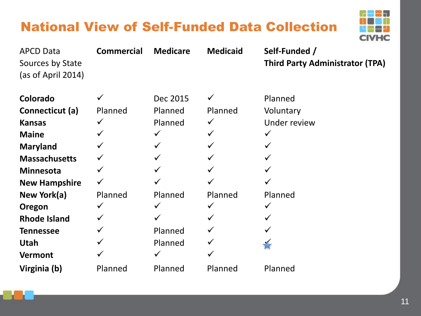### National View of Self-Funded Data Collection



| <b>APCD Data</b><br>Sources by State<br>(as of April 2014) | <b>Commercial</b> | <b>Medicare</b> | <b>Medicaid</b> | Self-Funded /<br><b>Third Party Administrator (TPA)</b> |
|------------------------------------------------------------|-------------------|-----------------|-----------------|---------------------------------------------------------|
| Colorado                                                   |                   | Dec 2015        |                 | Planned                                                 |
| Connecticut (a)                                            | Planned           | Planned         | Planned         | Voluntary                                               |
| <b>Kansas</b>                                              | $\checkmark$      | Planned         | $\checkmark$    | Under review                                            |
| <b>Maine</b>                                               | $\checkmark$      | $\checkmark$    |                 | $\checkmark$                                            |
| <b>Maryland</b>                                            |                   | $\checkmark$    |                 | $\checkmark$                                            |
| <b>Massachusetts</b>                                       | $\checkmark$      | $\checkmark$    |                 | $\checkmark$                                            |
| <b>Minnesota</b>                                           | $\checkmark$      | $\checkmark$    |                 | $\checkmark$                                            |
| <b>New Hampshire</b>                                       | $\checkmark$      |                 |                 |                                                         |
| New York(a)                                                | Planned           | Planned         | Planned         | Planned                                                 |
| Oregon                                                     | $\checkmark$      | $\checkmark$    |                 | $\checkmark$                                            |
| <b>Rhode Island</b>                                        | $\checkmark$      | ✓               |                 | ✓                                                       |
| <b>Tennessee</b>                                           | $\checkmark$      | Planned         |                 |                                                         |
| <b>Utah</b>                                                | $\checkmark$      | Planned         |                 |                                                         |
| <b>Vermont</b>                                             |                   | $\checkmark$    |                 |                                                         |
| Virginia (b)                                               | Planned           | Planned         | Planned         | Planned                                                 |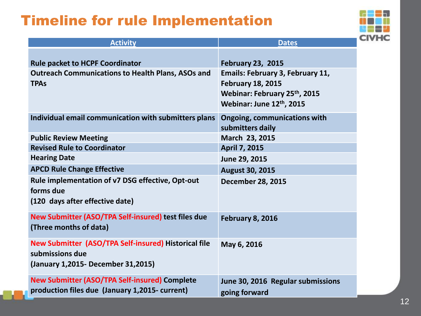### Timeline for rule Implementation



| <b>Activity</b>                                                                                                | <b>Dates</b>                                                                                                                    |
|----------------------------------------------------------------------------------------------------------------|---------------------------------------------------------------------------------------------------------------------------------|
| <b>Rule packet to HCPF Coordinator</b>                                                                         | <b>February 23, 2015</b>                                                                                                        |
| <b>Outreach Communications to Health Plans, ASOs and</b><br><b>TPAs</b>                                        | <b>Emails: February 3, February 11,</b><br><b>February 18, 2015</b><br>Webinar: February 25th, 2015<br>Webinar: June 12th, 2015 |
| Individual email communication with submitters plans                                                           | <b>Ongoing, communications with</b><br>submitters daily                                                                         |
| <b>Public Review Meeting</b>                                                                                   | March 23, 2015                                                                                                                  |
| <b>Revised Rule to Coordinator</b>                                                                             | <b>April 7, 2015</b>                                                                                                            |
| <b>Hearing Date</b>                                                                                            | June 29, 2015                                                                                                                   |
| <b>APCD Rule Change Effective</b>                                                                              | <b>August 30, 2015</b>                                                                                                          |
| Rule implementation of v7 DSG effective, Opt-out<br>forms due<br>(120 days after effective date)               | <b>December 28, 2015</b>                                                                                                        |
| New Submitter (ASO/TPA Self-insured) test files due<br>(Three months of data)                                  | February 8, 2016                                                                                                                |
| New Submitter (ASO/TPA Self-insured) Historical file<br>submissions due<br>(January 1,2015 - December 31,2015) | May 6, 2016                                                                                                                     |
| <b>New Submitter (ASO/TPA Self-insured) Complete</b><br>production files due (January 1,2015- current)         | June 30, 2016 Regular submissions<br>going forward                                                                              |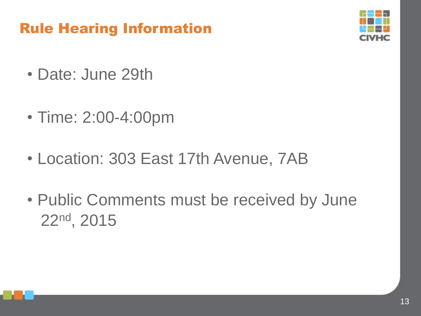### Rule Hearing Information



- Date: June 29th
- Time: 2:00-4:00pm
- Location: 303 East 17th Avenue, 7AB
- Public Comments must be received by June 22nd, 2015